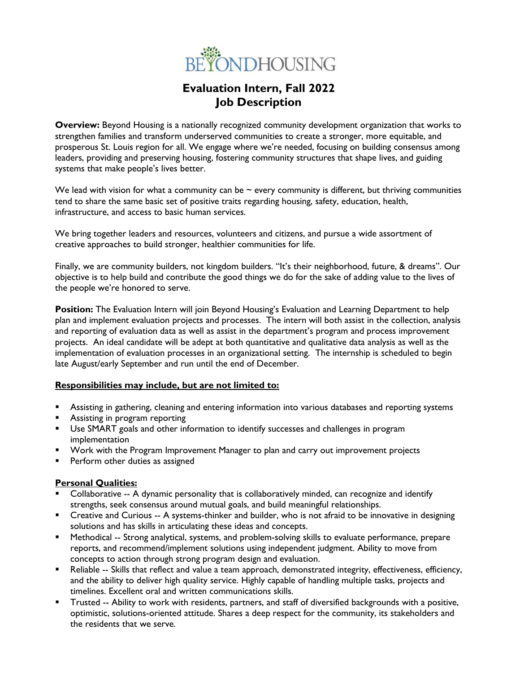

# **Evaluation Intern, Fall 2022 Job Description**

**Overview:** Beyond Housing is a nationally recognized community development organization that works to strengthen families and transform underserved communities to create a stronger, more equitable, and prosperous St. Louis region for all. We engage where we're needed, focusing on building consensus among leaders, providing and preserving housing, fostering community structures that shape lives, and guiding systems that make people's lives better.

We lead with vision for what a community can be  $\sim$  every community is different, but thriving communities tend to share the same basic set of positive traits regarding housing, safety, education, health, infrastructure, and access to basic human services.

We bring together leaders and resources, volunteers and citizens, and pursue a wide assortment of creative approaches to build stronger, healthier communities for life.

Finally, we are community builders, not kingdom builders. "It's their neighborhood, future, & dreams". Our objective is to help build and contribute the good things we do for the sake of adding value to the lives of the people we're honored to serve.

**Position:** The Evaluation Intern will join Beyond Housing's Evaluation and Learning Department to help plan and implement evaluation projects and processes. The intern will both assist in the collection, analysis and reporting of evaluation data as well as assist in the department's program and process improvement projects. An ideal candidate will be adept at both quantitative and qualitative data analysis as well as the implementation of evaluation processes in an organizational setting. The internship is scheduled to begin late August/early September and run until the end of December.

#### **Responsibilities may include, but are not limited to:**

- Assisting in gathering, cleaning and entering information into various databases and reporting systems
- **EXED:** Assisting in program reporting
- Use SMART goals and other information to identify successes and challenges in program implementation
- Work with the Program Improvement Manager to plan and carry out improvement projects
- Perform other duties as assigned

# **Personal Qualities:**

- Collaborative -- A dynamic personality that is collaboratively minded, can recognize and identify strengths, seek consensus around mutual goals, and build meaningful relationships.
- Creative and Curious -- A systems-thinker and builder, who is not afraid to be innovative in designing solutions and has skills in articulating these ideas and concepts.
- Methodical -- Strong analytical, systems, and problem-solving skills to evaluate performance, prepare reports, and recommend/implement solutions using independent judgment. Ability to move from concepts to action through strong program design and evaluation.
- Reliable -- Skills that reflect and value a team approach, demonstrated integrity, effectiveness, efficiency, and the ability to deliver high quality service. Highly capable of handling multiple tasks, projects and timelines. Excellent oral and written communications skills.
- Trusted -- Ability to work with residents, partners, and staff of diversified backgrounds with a positive, optimistic, solutions-oriented attitude. Shares a deep respect for the community, its stakeholders and the residents that we serve.